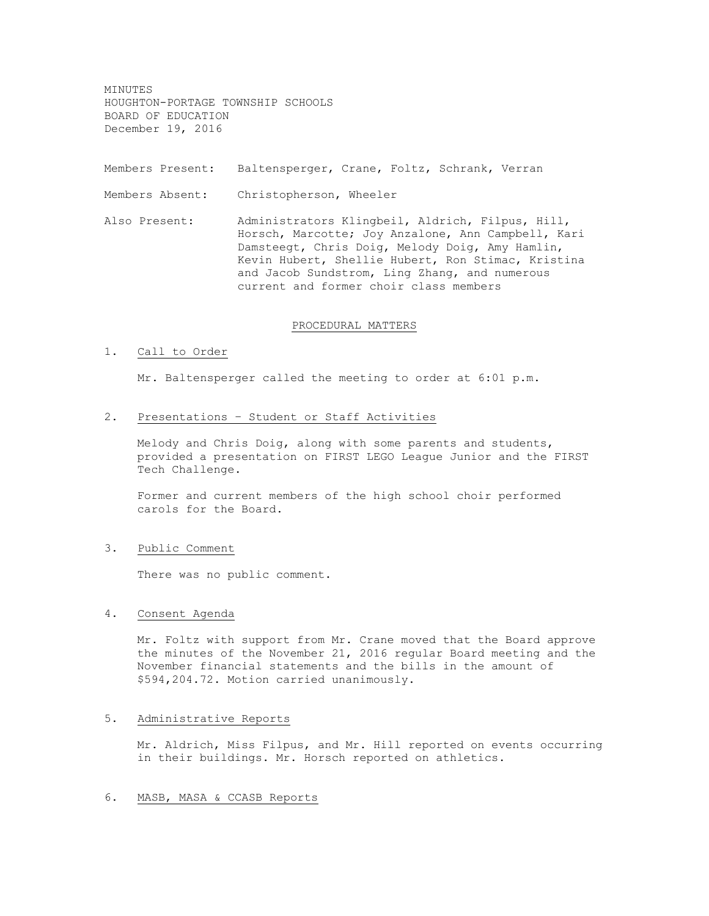MINUTES HOUGHTON-PORTAGE TOWNSHIP SCHOOLS BOARD OF EDUCATION December 19, 2016

Members Present: Baltensperger, Crane, Foltz, Schrank, Verran

Members Absent: Christopherson, Wheeler

Also Present: Administrators Klingbeil, Aldrich, Filpus, Hill, Horsch, Marcotte; Joy Anzalone, Ann Campbell, Kari Damsteegt, Chris Doig, Melody Doig, Amy Hamlin, Kevin Hubert, Shellie Hubert, Ron Stimac, Kristina and Jacob Sundstrom, Ling Zhang, and numerous current and former choir class members

# PROCEDURAL MATTERS

#### 1. Call to Order

Mr. Baltensperger called the meeting to order at 6:01 p.m.

2. Presentations – Student or Staff Activities

Melody and Chris Doig, along with some parents and students, provided a presentation on FIRST LEGO League Junior and the FIRST Tech Challenge.

Former and current members of the high school choir performed carols for the Board.

3. Public Comment

There was no public comment.

# 4. Consent Agenda

Mr. Foltz with support from Mr. Crane moved that the Board approve the minutes of the November 21, 2016 regular Board meeting and the November financial statements and the bills in the amount of \$594,204.72. Motion carried unanimously.

### 5. Administrative Reports

Mr. Aldrich, Miss Filpus, and Mr. Hill reported on events occurring in their buildings. Mr. Horsch reported on athletics.

# 6. MASB, MASA & CCASB Reports